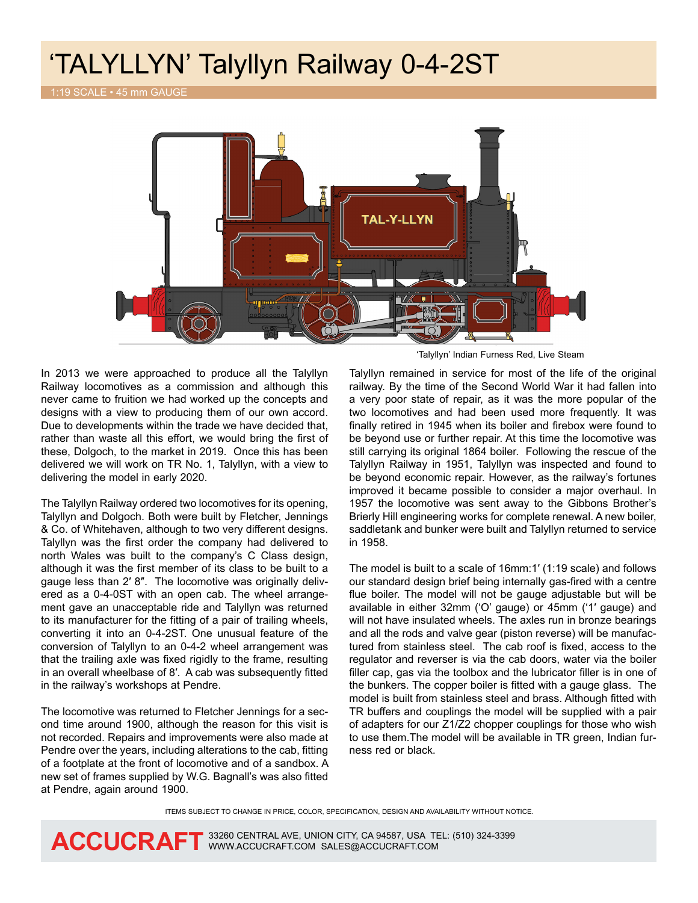## 'TALYLLYN' Talyllyn Railway 0-4-2ST

1:19 SCALE • 45 mm GAUGE



In 2013 we were approached to produce all the Talyllyn Railway locomotives as a commission and although this never came to fruition we had worked up the concepts and designs with a view to producing them of our own accord. Due to developments within the trade we have decided that, rather than waste all this effort, we would bring the first of these, Dolgoch, to the market in 2019. Once this has been delivered we will work on TR No. 1, Talyllyn, with a view to delivering the model in early 2020.

The Talyllyn Railway ordered two locomotives for its opening, Talyllyn and Dolgoch. Both were built by Fletcher, Jennings & Co. of Whitehaven, although to two very different designs. Talyllyn was the first order the company had delivered to north Wales was built to the company's C Class design, although it was the first member of its class to be built to a gauge less than 2′ 8″. The locomotive was originally delivered as a 0-4-0ST with an open cab. The wheel arrangement gave an unacceptable ride and Talyllyn was returned to its manufacturer for the fitting of a pair of trailing wheels, converting it into an 0-4-2ST. One unusual feature of the conversion of Talyllyn to an 0-4-2 wheel arrangement was that the trailing axle was fixed rigidly to the frame, resulting in an overall wheelbase of 8′. A cab was subsequently fitted in the railway's workshops at Pendre.

The locomotive was returned to Fletcher Jennings for a second time around 1900, although the reason for this visit is not recorded. Repairs and improvements were also made at Pendre over the years, including alterations to the cab, fitting of a footplate at the front of locomotive and of a sandbox. A new set of frames supplied by W.G. Bagnall's was also fitted at Pendre, again around 1900.

'Talyllyn' Indian Furness Red, Live Steam

Talyllyn remained in service for most of the life of the original railway. By the time of the Second World War it had fallen into a very poor state of repair, as it was the more popular of the two locomotives and had been used more frequently. It was finally retired in 1945 when its boiler and firebox were found to be beyond use or further repair. At this time the locomotive was still carrying its original 1864 boiler. Following the rescue of the Talyllyn Railway in 1951, Talyllyn was inspected and found to be beyond economic repair. However, as the railway's fortunes improved it became possible to consider a major overhaul. In 1957 the locomotive was sent away to the Gibbons Brother's Brierly Hill engineering works for complete renewal. A new boiler, saddletank and bunker were built and Talyllyn returned to service in 1958.

The model is built to a scale of 16mm:1′ (1:19 scale) and follows our standard design brief being internally gas-fired with a centre flue boiler. The model will not be gauge adjustable but will be available in either 32mm ('O' gauge) or 45mm ('1′ gauge) and will not have insulated wheels. The axles run in bronze bearings and all the rods and valve gear (piston reverse) will be manufactured from stainless steel. The cab roof is fixed, access to the regulator and reverser is via the cab doors, water via the boiler filler cap, gas via the toolbox and the lubricator filler is in one of the bunkers. The copper boiler is fitted with a gauge glass. The model is built from stainless steel and brass. Although fitted with TR buffers and couplings the model will be supplied with a pair of adapters for our Z1/Z2 chopper couplings for those who wish to use them.The model will be available in TR green, Indian furness red or black.

ITEMS SUBJECT TO CHANGE IN PRICE, COLOR, SPECIFICATION, DESIGN AND AVAILABILITY WITHOUT NOTICE.



ACCUCRAFT 33260 CENTRAL AVE, UNION CITY, CA 94587, USA TEL: (510) 324-3399 **ACCUCRAFT** WWW.ACCUCRAFT.COM SALES@ACCUCRAFT.COM